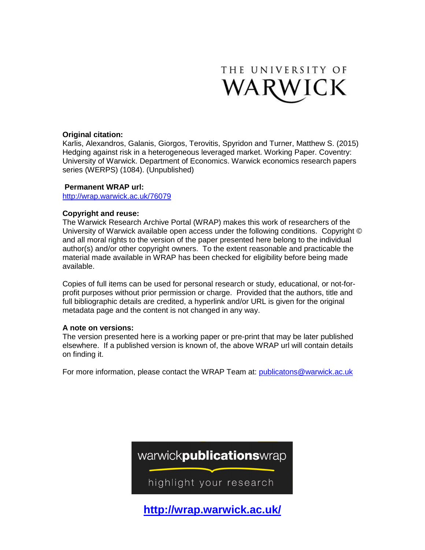

#### **Original citation:**

Karlis, Alexandros, Galanis, Giorgos, Terovitis, Spyridon and Turner, Matthew S. (2015) Hedging against risk in a heterogeneous leveraged market. Working Paper. Coventry: University of Warwick. Department of Economics. Warwick economics research papers series (WERPS) (1084). (Unpublished)

#### **Permanent WRAP url:**

<http://wrap.warwick.ac.uk/76079>

#### **Copyright and reuse:**

The Warwick Research Archive Portal (WRAP) makes this work of researchers of the University of Warwick available open access under the following conditions. Copyright © and all moral rights to the version of the paper presented here belong to the individual author(s) and/or other copyright owners. To the extent reasonable and practicable the material made available in WRAP has been checked for eligibility before being made available.

Copies of full items can be used for personal research or study, educational, or not-forprofit purposes without prior permission or charge. Provided that the authors, title and full bibliographic details are credited, a hyperlink and/or URL is given for the original metadata page and the content is not changed in any way.

#### **A note on versions:**

The version presented here is a working paper or pre-print that may be later published elsewhere. If a published version is known of, the above WRAP url will contain details on finding it.

For more information, please contact the WRAP Team at: [publicatons@warwick.ac.uk](mailto:publicatons@warwick.ac.uk)



**[http://wrap.warwick.ac.uk/](http://go.warwick.ac.uk/)**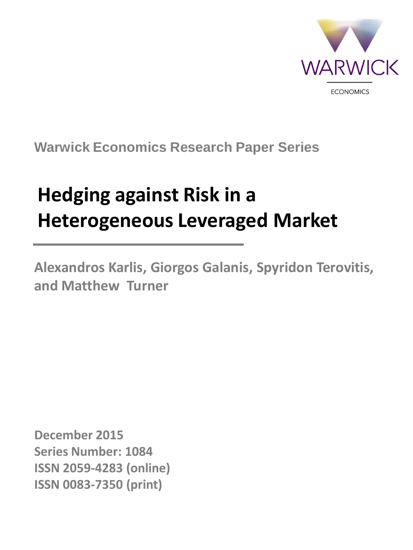

## **Warwick Economics Research Paper Series**

# **Hedging against Risk in a Heterogeneous Leveraged Market**

**Alexandros Karlis, Giorgos Galanis, Spyridon Terovitis, and Matthew Turner**

**December 2015 Series Number: 1084 ISSN 2059-4283 (online) ISSN 0083-7350 (print)**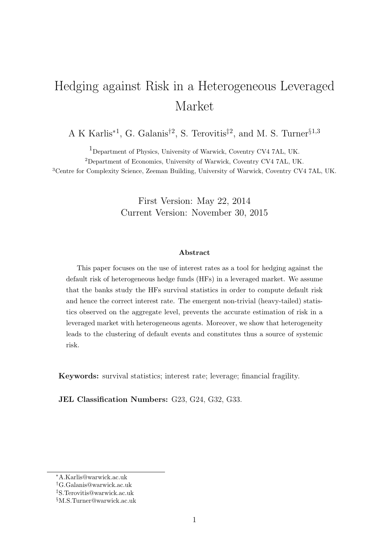## Hedging against Risk in a Heterogeneous Leveraged Market

A K Karlis<sup>\*1</sup>, G. Galanis<sup>†2</sup>, S. Terovitis<sup>‡2</sup>, and M. S. Turner<sup>§1,3</sup>

1Department of Physics, University of Warwick, Coventry CV4 7AL, UK. <sup>2</sup>Department of Economics, University of Warwick, Coventry CV4 7AL, UK. <sup>3</sup>Centre for Complexity Science, Zeeman Building, University of Warwick, Coventry CV4 7AL, UK.

> First Version: May 22, 2014 Current Version: November 30, 2015

#### Abstract

This paper focuses on the use of interest rates as a tool for hedging against the default risk of heterogeneous hedge funds (HFs) in a leveraged market. We assume that the banks study the HFs survival statistics in order to compute default risk and hence the correct interest rate. The emergent non-trivial (heavy-tailed) statistics observed on the aggregate level, prevents the accurate estimation of risk in a leveraged market with heterogeneous agents. Moreover, we show that heterogeneity leads to the clustering of default events and constitutes thus a source of systemic risk.

Keywords: survival statistics; interest rate; leverage; financial fragility.

JEL Classification Numbers: G23, G24, G32, G33.

<sup>∗</sup>A.Karlis@warwick.ac.uk

<sup>†</sup>G.Galanis@warwick.ac.uk

<sup>‡</sup>S.Terovitis@warwick.ac.uk

<sup>§</sup>M.S.Turner@warwick.ac.uk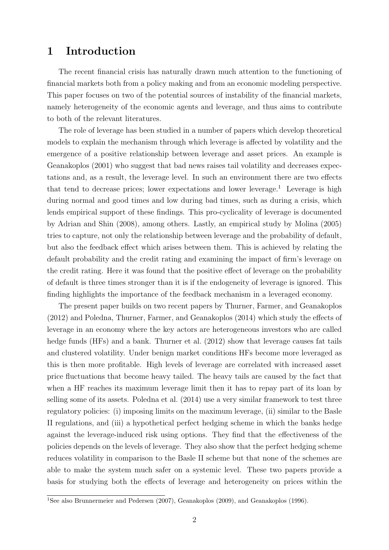## 1 Introduction

The recent financial crisis has naturally drawn much attention to the functioning of financial markets both from a policy making and from an economic modeling perspective. This paper focuses on two of the potential sources of instability of the financial markets, namely heterogeneity of the economic agents and leverage, and thus aims to contribute to both of the relevant literatures.

The role of leverage has been studied in a number of papers which develop theoretical models to explain the mechanism through which leverage is affected by volatility and the emergence of a positive relationship between leverage and asset prices. An example is Geanakoplos (2001) who suggest that bad news raises tail volatility and decreases expectations and, as a result, the leverage level. In such an environment there are two effects that tend to decrease prices; lower expectations and lower leverage.<sup>1</sup> Leverage is high during normal and good times and low during bad times, such as during a crisis, which lends empirical support of these findings. This pro-cyclicality of leverage is documented by Adrian and Shin (2008), among others. Lastly, an empirical study by Molina (2005) tries to capture, not only the relationship between leverage and the probability of default, but also the feedback effect which arises between them. This is achieved by relating the default probability and the credit rating and examining the impact of firm's leverage on the credit rating. Here it was found that the positive effect of leverage on the probability of default is three times stronger than it is if the endogeneity of leverage is ignored. This finding highlights the importance of the feedback mechanism in a leveraged economy.

The present paper builds on two recent papers by Thurner, Farmer, and Geanakoplos (2012) and Poledna, Thurner, Farmer, and Geanakoplos (2014) which study the effects of leverage in an economy where the key actors are heterogeneous investors who are called hedge funds (HFs) and a bank. Thurner et al. (2012) show that leverage causes fat tails and clustered volatility. Under benign market conditions HFs become more leveraged as this is then more profitable. High levels of leverage are correlated with increased asset price fluctuations that become heavy tailed. The heavy tails are caused by the fact that when a HF reaches its maximum leverage limit then it has to repay part of its loan by selling some of its assets. Poledna et al. (2014) use a very similar framework to test three regulatory policies: (i) imposing limits on the maximum leverage, (ii) similar to the Basle II regulations, and (iii) a hypothetical perfect hedging scheme in which the banks hedge against the leverage-induced risk using options. They find that the effectiveness of the policies depends on the levels of leverage. They also show that the perfect hedging scheme reduces volatility in comparison to the Basle II scheme but that none of the schemes are able to make the system much safer on a systemic level. These two papers provide a basis for studying both the effects of leverage and heterogeneity on prices within the

<sup>&</sup>lt;sup>1</sup>See also Brunnermeier and Pedersen (2007), Geanakoplos (2009), and Geanakoplos (1996).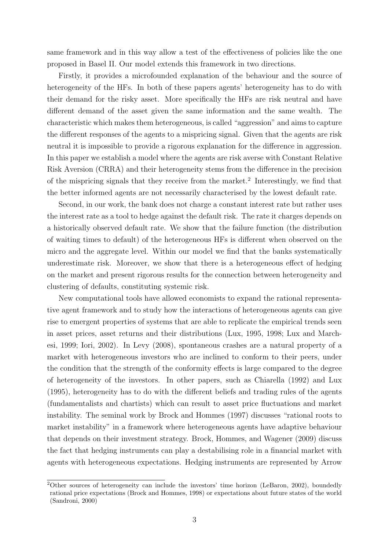same framework and in this way allow a test of the effectiveness of policies like the one proposed in Basel II. Our model extends this framework in two directions.

Firstly, it provides a microfounded explanation of the behaviour and the source of heterogeneity of the HFs. In both of these papers agents' heterogeneity has to do with their demand for the risky asset. More specifically the HFs are risk neutral and have different demand of the asset given the same information and the same wealth. The characteristic which makes them heterogeneous, is called "aggression" and aims to capture the different responses of the agents to a mispricing signal. Given that the agents are risk neutral it is impossible to provide a rigorous explanation for the difference in aggression. In this paper we establish a model where the agents are risk averse with Constant Relative Risk Aversion (CRRA) and their heterogeneity stems from the difference in the precision of the mispricing signals that they receive from the market.<sup>2</sup> Interestingly, we find that the better informed agents are not necessarily characterised by the lowest default rate.

Second, in our work, the bank does not charge a constant interest rate but rather uses the interest rate as a tool to hedge against the default risk. The rate it charges depends on a historically observed default rate. We show that the failure function (the distribution of waiting times to default) of the heterogeneous HFs is different when observed on the micro and the aggregate level. Within our model we find that the banks systematically underestimate risk. Moreover, we show that there is a heterogeneous effect of hedging on the market and present rigorous results for the connection between heterogeneity and clustering of defaults, constituting systemic risk.

New computational tools have allowed economists to expand the rational representative agent framework and to study how the interactions of heterogeneous agents can give rise to emergent properties of systems that are able to replicate the empirical trends seen in asset prices, asset returns and their distributions (Lux, 1995, 1998; Lux and Marchesi, 1999; Iori, 2002). In Levy (2008), spontaneous crashes are a natural property of a market with heterogeneous investors who are inclined to conform to their peers, under the condition that the strength of the conformity effects is large compared to the degree of heterogeneity of the investors. In other papers, such as Chiarella (1992) and Lux (1995), heterogeneity has to do with the different beliefs and trading rules of the agents (fundamentalists and chartists) which can result to asset price fluctuations and market instability. The seminal work by Brock and Hommes (1997) discusses "rational roots to market instability" in a framework where heterogeneous agents have adaptive behaviour that depends on their investment strategy. Brock, Hommes, and Wagener (2009) discuss the fact that hedging instruments can play a destabilising role in a financial market with agents with heterogeneous expectations. Hedging instruments are represented by Arrow

<sup>&</sup>lt;sup>2</sup>Other sources of heterogeneity can include the investors' time horizon (LeBaron, 2002), boundedly rational price expectations (Brock and Hommes, 1998) or expectations about future states of the world (Sandroni, 2000)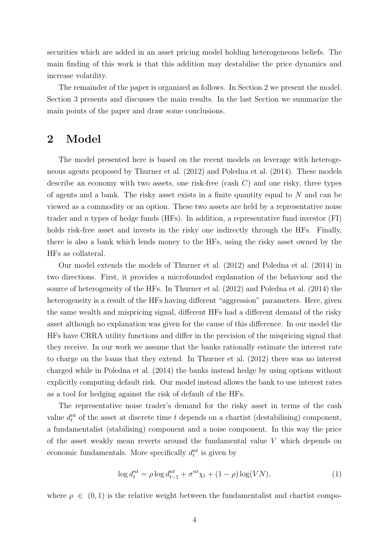securities which are added in an asset pricing model holding heterogeneous beliefs. The main finding of this work is that this addition may destabilise the price dynamics and increase volatility.

The remainder of the paper is organized as follows. In Section 2 we present the model. Section 3 presents and discusses the main results. In the last Section we summarize the main points of the paper and draw some conclusions.

### 2 Model

The model presented here is based on the recent models on leverage with heterogeneous agents proposed by Thurner et al. (2012) and Poledna et al. (2014). These models describe an economy with two assets, one risk-free (cash  $C$ ) and one risky, three types of agents and a bank. The risky asset exists in a finite quantity equal to  $N$  and can be viewed as a commodity or an option. These two assets are held by a representative noise trader and n types of hedge funds (HFs). In addition, a representative fund investor (FI) holds risk-free asset and invests in the risky one indirectly through the HFs. Finally, there is also a bank which lends money to the HFs, using the risky asset owned by the HFs as collateral.

Our model extends the models of Thurner et al. (2012) and Poledna et al. (2014) in two directions. First, it provides a microfounded explanation of the behaviour and the source of heterogeneity of the HFs. In Thurner et al. (2012) and Poledna et al. (2014) the heterogeneity is a result of the HFs having different "aggression" parameters. Here, given the same wealth and mispricing signal, different HFs had a different demand of the risky asset although no explanation was given for the cause of this difference. In our model the HFs have CRRA utility functions and differ in the precision of the mispricing signal that they receive. In our work we assume that the banks rationally estimate the interest rate to charge on the loans that they extend. In Thurner et al. (2012) there was no interest charged while in Poledna et al. (2014) the banks instead hedge by using options without explicitly computing default risk. Our model instead allows the bank to use interest rates as a tool for hedging against the risk of default of the HFs.

The representative noise trader's demand for the risky asset in terms of the cash value  $d_t^{nt}$  of the asset at discrete time t depends on a chartist (destabilising) component, a fundamentalist (stabilising) component and a noise component. In this way the price of the asset weakly mean reverts around the fundamental value V which depends on economic fundamentals. More specifically  $d_t^{nt}$  is given by

$$
\log d_t^{nt} = \rho \log d_{t-1}^{nt} + \sigma^{nt} \chi_t + (1 - \rho) \log (VN), \tag{1}
$$

where  $\rho \in (0,1)$  is the relative weight between the fundamentalist and chartist compo-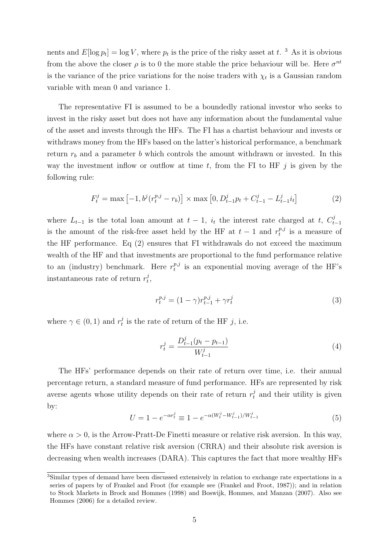nents and  $E[\log p_t] = \log V$ , where  $p_t$  is the price of the risky asset at t.<sup>3</sup> As it is obvious from the above the closer  $\rho$  is to 0 the more stable the price behaviour will be. Here  $\sigma^{nt}$ is the variance of the price variations for the noise traders with  $\chi_t$  is a Gaussian random variable with mean 0 and variance 1.

The representative FI is assumed to be a boundedly rational investor who seeks to invest in the risky asset but does not have any information about the fundamental value of the asset and invests through the HFs. The FI has a chartist behaviour and invests or withdraws money from the HFs based on the latter's historical performance, a benchmark return  $r_b$  and a parameter b which controls the amount withdrawn or invested. In this way the investment inflow or outflow at time  $t$ , from the FI to HF  $j$  is given by the following rule:

$$
F_t^j = \max\left[-1, b^j(r_t^{p,j} - r_b)\right] \times \max\left[0, D_{t-1}^j p_t + C_{t-1}^j - L_{t-1}^j i_t\right]
$$
(2)

where  $L_{t-1}$  is the total loan amount at  $t-1$ ,  $i_t$  the interest rate charged at t,  $C_t^j$  $t-1$ is the amount of the risk-free asset held by the HF at  $t-1$  and  $r_t^{p,j}$  $t^{p,j}$  is a measure of the HF performance. Eq (2) ensures that FI withdrawals do not exceed the maximum wealth of the HF and that investments are proportional to the fund performance relative to an (industry) benchmark. Here  $r_t^{p,j}$  $t^{p,j}$  is an exponential moving average of the HF's instantaneous rate of return  $r_t^j$  $_t^j,$ 

$$
r_t^{p,j} = (1 - \gamma)r_{t-1}^{p,j} + \gamma r_t^j
$$
\n(3)

where  $\gamma \in (0,1)$  and  $r_t^j$  $_t^j$  is the rate of return of the HF j, i.e.

$$
r_t^j = \frac{D_{t-1}^j(p_t - p_{t-1})}{W_{t-1}^j} \tag{4}
$$

The HFs' performance depends on their rate of return over time, i.e. their annual percentage return, a standard measure of fund performance. HFs are represented by risk averse agents whose utility depends on their rate of return  $r_t^j$  and their utility is given by:

$$
U = 1 - e^{-\alpha r_t^j} \equiv 1 - e^{-\alpha (W_t^j - W_{t-1}^j)/W_{t-1}^j}
$$
\n
$$
(5)
$$

where  $\alpha > 0$ , is the Arrow-Pratt-De Finetti measure or relative risk aversion. In this way, the HFs have constant relative risk aversion (CRRA) and their absolute risk aversion is decreasing when wealth increases (DARA). This captures the fact that more wealthy HFs

<sup>3</sup>Similar types of demand have been discussed extensively in relation to exchange rate expectations in a series of papers by of Frankel and Froot (for example see (Frankel and Froot, 1987)); and in relation to Stock Markets in Brock and Hommes (1998) and Boswijk, Hommes, and Manzan (2007). Also see Hommes (2006) for a detailed review.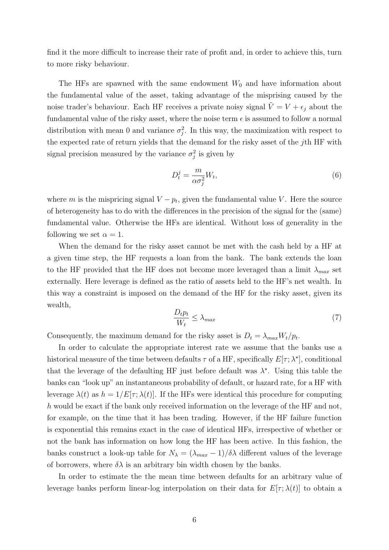find it the more difficult to increase their rate of profit and, in order to achieve this, turn to more risky behaviour.

The HFs are spawned with the same endowment  $W_0$  and have information about the fundamental value of the asset, taking advantage of the misprising caused by the noise trader's behaviour. Each HF receives a private noisy signal  $\tilde{V} = V + \epsilon_j$  about the fundamental value of the risky asset, where the noise term  $\epsilon$  is assumed to follow a normal distribution with mean 0 and variance  $\sigma_j^2$ . In this way, the maximization with respect to the expected rate of return yields that the demand for the risky asset of the jth HF with signal precision measured by the variance  $\sigma_j^2$  is given by

$$
D_t^j = \frac{m}{\alpha \sigma_j^2} W_t,\tag{6}
$$

where m is the mispricing signal  $V - p_t$ , given the fundamental value V. Here the source of heterogeneity has to do with the differences in the precision of the signal for the (same) fundamental value. Otherwise the HFs are identical. Without loss of generality in the following we set  $\alpha = 1$ .

When the demand for the risky asset cannot be met with the cash held by a HF at a given time step, the HF requests a loan from the bank. The bank extends the loan to the HF provided that the HF does not become more leveraged than a limit  $\lambda_{max}$  set externally. Here leverage is defined as the ratio of assets held to the HF's net wealth. In this way a constraint is imposed on the demand of the HF for the risky asset, given its wealth,

$$
\frac{D_t p_t}{W_t} \le \lambda_{max} \tag{7}
$$

Consequently, the maximum demand for the risky asset is  $D_t = \lambda_{max} W_t / p_t$ .

In order to calculate the appropriate interest rate we assume that the banks use a historical measure of the time between defaults  $\tau$  of a HF, specifically  $E[\tau; \lambda^*]$ , conditional that the leverage of the defaulting HF just before default was  $\lambda^*$ . Using this table the banks can "look up" an instantaneous probability of default, or hazard rate, for a HF with leverage  $\lambda(t)$  as  $h = 1/E[\tau; \lambda(t)]$ . If the HFs were identical this procedure for computing h would be exact if the bank only received information on the leverage of the HF and not, for example, on the time that it has been trading. However, if the HF failure function is exponential this remains exact in the case of identical HFs, irrespective of whether or not the bank has information on how long the HF has been active. In this fashion, the banks construct a look-up table for  $N_{\lambda} = (\lambda_{max} - 1)/\delta \lambda$  different values of the leverage of borrowers, where  $\delta\lambda$  is an arbitrary bin width chosen by the banks.

In order to estimate the the mean time between defaults for an arbitrary value of leverage banks perform linear-log interpolation on their data for  $E[\tau; \lambda(t)]$  to obtain a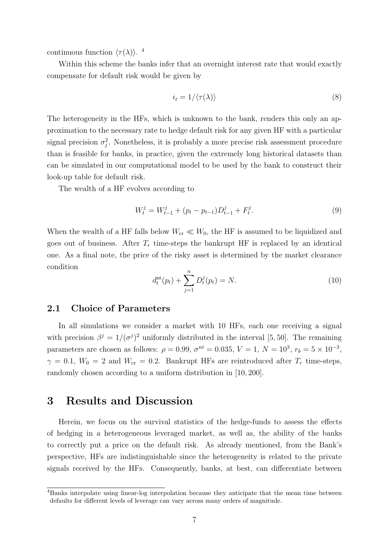continuous function  $\langle \tau(\lambda) \rangle$ .<sup>4</sup>

Within this scheme the banks infer that an overnight interest rate that would exactly compensate for default risk would be given by

$$
i_t = 1/\langle \tau(\lambda) \rangle \tag{8}
$$

The heterogeneity in the HFs, which is unknown to the bank, renders this only an approximation to the necessary rate to hedge default risk for any given HF with a particular signal precision  $\sigma_j^2$ . Nonetheless, it is probably a more precise risk assessment procedure than is feasible for banks, in practice, given the extremely long historical datasets than can be simulated in our computational model to be used by the bank to construct their look-up table for default risk.

The wealth of a HF evolves according to

$$
W_t^j = W_{t-1}^j + (p_t - p_{t-1})D_{t-1}^j + F_t^j.
$$
\n
$$
(9)
$$

When the wealth of a HF falls below  $W_{cr} \ll W_0$ , the HF is assumed to be liquidized and goes out of business. After  $T_r$  time-steps the bankrupt HF is replaced by an identical one. As a final note, the price of the risky asset is determined by the market clearance condition

$$
d_t^{\text{nt}}(p_t) + \sum_{j=1}^n D_t^j(p_t) = N. \tag{10}
$$

#### 2.1 Choice of Parameters

In all simulations we consider a market with 10 HFs, each one receiving a signal with precision  $\beta^j = 1/(\sigma^j)^2$  uniformly distributed in the interval [5, 50]. The remaining parameters are chosen as follows:  $\rho = 0.99, \sigma^{nt} = 0.035, V = 1, N = 10^3, r_b = 5 \times 10^{-3}$ ,  $\gamma = 0.1, W_0 = 2$  and  $W_{cr} = 0.2$ . Bankrupt HFs are reintroduced after  $T_r$  time-steps, randomly chosen according to a uniform distribution in [10, 200].

### 3 Results and Discussion

Herein, we focus on the survival statistics of the hedge-funds to assess the effects of hedging in a heterogeneous leveraged market, as well as, the ability of the banks to correctly put a price on the default risk. As already mentioned, from the Bank's perspective, HFs are indistinguishable since the heterogeneity is related to the private signals received by the HFs. Consequently, banks, at best, can differentiate between

<sup>4</sup>Banks interpolate using linear-log interpolation because they anticipate that the mean time between defaults for different levels of leverage can vary across many orders of magnitude.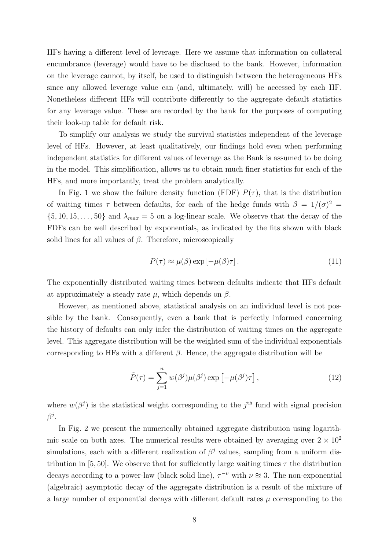HFs having a different level of leverage. Here we assume that information on collateral encumbrance (leverage) would have to be disclosed to the bank. However, information on the leverage cannot, by itself, be used to distinguish between the heterogeneous HFs since any allowed leverage value can (and, ultimately, will) be accessed by each HF. Nonetheless different HFs will contribute differently to the aggregate default statistics for any leverage value. These are recorded by the bank for the purposes of computing their look-up table for default risk.

To simplify our analysis we study the survival statistics independent of the leverage level of HFs. However, at least qualitatively, our findings hold even when performing independent statistics for different values of leverage as the Bank is assumed to be doing in the model. This simplification, allows us to obtain much finer statistics for each of the HFs, and more importantly, treat the problem analytically.

In Fig. 1 we show the failure density function (FDF)  $P(\tau)$ , that is the distribution of waiting times  $\tau$  between defaults, for each of the hedge funds with  $\beta = 1/(\sigma)^2$  $\{5, 10, 15, \ldots, 50\}$  and  $\lambda_{max} = 5$  on a log-linear scale. We observe that the decay of the FDFs can be well described by exponentials, as indicated by the fits shown with black solid lines for all values of  $\beta$ . Therefore, microscopically

$$
P(\tau) \approx \mu(\beta) \exp\left[-\mu(\beta)\tau\right].\tag{11}
$$

The exponentially distributed waiting times between defaults indicate that HFs default at approximately a steady rate  $\mu$ , which depends on  $\beta$ .

However, as mentioned above, statistical analysis on an individual level is not possible by the bank. Consequently, even a bank that is perfectly informed concerning the history of defaults can only infer the distribution of waiting times on the aggregate level. This aggregate distribution will be the weighted sum of the individual exponentials corresponding to HFs with a different  $\beta$ . Hence, the aggregate distribution will be

$$
\tilde{P}(\tau) = \sum_{j=1}^{n} w(\beta^j) \mu(\beta^j) \exp\left[-\mu(\beta^j)\tau\right],\tag{12}
$$

where  $w(\beta^j)$  is the statistical weight corresponding to the j<sup>th</sup> fund with signal precision  $\beta^j.$ 

In Fig. 2 we present the numerically obtained aggregate distribution using logarithmic scale on both axes. The numerical results were obtained by averaging over  $2 \times 10^2$ simulations, each with a different realization of  $\beta^j$  values, sampling from a uniform distribution in [5, 50]. We observe that for sufficiently large waiting times  $\tau$  the distribution decays according to a power-law (black solid line),  $\tau^{-\nu}$  with  $\nu \approx 3$ . The non-exponential (algebraic) asymptotic decay of the aggregate distribution is a result of the mixture of a large number of exponential decays with different default rates  $\mu$  corresponding to the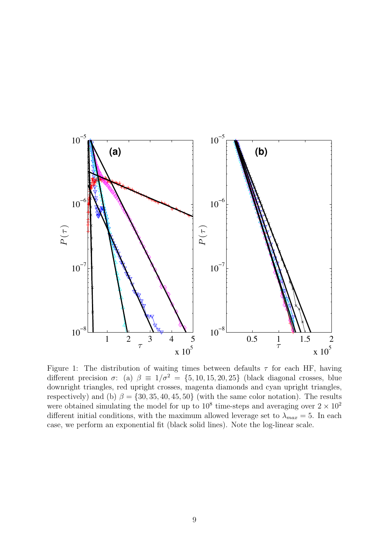

Figure 1: The distribution of waiting times between defaults  $\tau$  for each HF, having different precision  $\sigma$ : (a)  $\beta \equiv 1/\sigma^2 = \{5, 10, 15, 20, 25\}$  (black diagonal crosses, blue downright triangles, red upright crosses, magenta diamonds and cyan upright triangles, respectively) and (b)  $\beta = \{30, 35, 40, 45, 50\}$  (with the same color notation). The results were obtained simulating the model for up to  $10^8$  time-steps and averaging over  $2 \times 10^2$ different initial conditions, with the maximum allowed leverage set to  $\lambda_{max} = 5$ . In each case, we perform an exponential fit (black solid lines). Note the log-linear scale.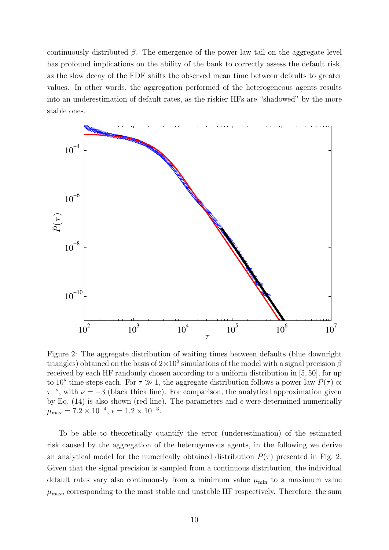continuously distributed  $\beta$ . The emergence of the power-law tail on the aggregate level has profound implications on the ability of the bank to correctly assess the default risk, as the slow decay of the FDF shifts the observed mean time between defaults to greater values. In other words, the aggregation performed of the heterogeneous agents results into an underestimation of default rates, as the riskier HFs are "shadowed" by the more stable ones.



Figure 2: The aggregate distribution of waiting times between defaults (blue downright triangles) obtained on the basis of  $2 \times 10^2$  simulations of the model with a signal precision  $\beta$ received by each HF randomly chosen according to a uniform distribution in [5, 50], for up to 10<sup>8</sup> time-steps each. For  $\tau \gg 1$ , the aggregate distribution follows a power-law  $\tilde{P}(\tau) \propto$  $\tau^{-\nu}$ , with  $\nu = -3$  (black thick line). For comparison, the analytical approximation given by Eq. (14) is also shown (red line). The parameters and  $\epsilon$  were determined numerically  $\mu_{\text{max}} = 7.2 \times 10^{-4}, \, \epsilon = 1.2 \times 10^{-3}.$ 

To be able to theoretically quantify the error (underestimation) of the estimated risk caused by the aggregation of the heterogeneous agents, in the following we derive an analytical model for the numerically obtained distribution  $\tilde{P}(\tau)$  presented in Fig. 2. Given that the signal precision is sampled from a continuous distribution, the individual default rates vary also continuously from a minimum value  $\mu_{\min}$  to a maximum value  $\mu_{\text{max}}$ , corresponding to the most stable and unstable HF respectively. Therefore, the sum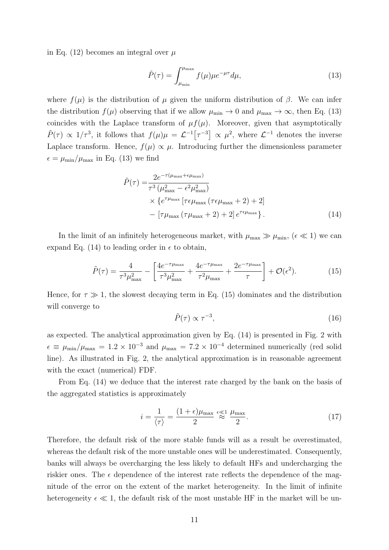in Eq. (12) becomes an integral over  $\mu$ 

$$
\tilde{P}(\tau) = \int_{\mu_{\min}}^{\mu_{\max}} f(\mu) \mu e^{-\mu \tau} d\mu,
$$
\n(13)

where  $f(\mu)$  is the distribution of  $\mu$  given the uniform distribution of  $\beta$ . We can infer the distribution  $f(\mu)$  observing that if we allow  $\mu_{\min} \to 0$  and  $\mu_{\max} \to \infty$ , then Eq. (13) coincides with the Laplace transform of  $\mu f(\mu)$ . Moreover, given that asymptotically  $\tilde{P}(\tau) \propto 1/\tau^3$ , it follows that  $f(\mu)\mu = \mathcal{L}^{-1}[\tau^{-3}] \propto \mu^2$ , where  $\mathcal{L}^{-1}$  denotes the inverse Laplace transform. Hence,  $f(\mu) \propto \mu$ . Introducing further the dimensionless parameter  $\epsilon = \mu_{\min}/\mu_{\max}$  in Eq. (13) we find

$$
\tilde{P}(\tau) = \frac{2e^{-\tau(\mu_{\text{max}} + \epsilon \mu_{\text{max}})}}{\tau^3 (\mu_{\text{max}}^2 - \epsilon^2 \mu_{\text{max}}^2)}
$$
\n
$$
\times \{e^{\tau \mu_{\text{max}}} \left[ \tau \epsilon \mu_{\text{max}} \left( \tau \epsilon \mu_{\text{max}} + 2 \right) + 2 \right] - \left[ \tau \mu_{\text{max}} \left( \tau \mu_{\text{max}} + 2 \right) + 2 \right] e^{\tau \epsilon \mu_{\text{max}}} \}.
$$
\n(14)

In the limit of an infinitely heterogeneous market, with  $\mu_{\text{max}} \gg \mu_{\text{min}}$ , ( $\epsilon \ll 1$ ) we can expand Eq. (14) to leading order in  $\epsilon$  to obtain,

$$
\tilde{P}(\tau) = \frac{4}{\tau^3 \mu_{\text{max}}^2} - \left[ \frac{4e^{-\tau \mu_{\text{max}}}}{\tau^3 \mu_{\text{max}}^2} + \frac{4e^{-\tau \mu_{\text{max}}}}{\tau^2 \mu_{\text{max}}} + \frac{2e^{-\tau \mu_{\text{max}}}}{\tau} \right] + \mathcal{O}(\epsilon^2).
$$
 (15)

Hence, for  $\tau \gg 1$ , the slowest decaying term in Eq. (15) dominates and the distribution will converge to

$$
\tilde{P}(\tau) \propto \tau^{-3},\tag{16}
$$

as expected. The analytical approximation given by Eq. (14) is presented in Fig. 2 with  $\epsilon \equiv \mu_{\rm min}/\mu_{\rm max} = 1.2 \times 10^{-3}$  and  $\mu_{\rm max} = 7.2 \times 10^{-4}$  determined numerically (red solid line). As illustrated in Fig. 2, the analytical approximation is in reasonable agreement with the exact (numerical) FDF.

From Eq. (14) we deduce that the interest rate charged by the bank on the basis of the aggregated statistics is approximately

$$
i = \frac{1}{\langle \tau \rangle} = \frac{(1 + \epsilon)\mu_{\text{max}}}{2} \stackrel{\epsilon \ll 1}{\approx} \frac{\mu_{\text{max}}}{2}.
$$
 (17)

Therefore, the default risk of the more stable funds will as a result be overestimated, whereas the default risk of the more unstable ones will be underestimated. Consequently, banks will always be overcharging the less likely to default HFs and undercharging the riskier ones. The  $\epsilon$  dependence of the interest rate reflects the dependence of the magnitude of the error on the extent of the market heterogeneity. In the limit of infinite heterogeneity  $\epsilon \ll 1$ , the default risk of the most unstable HF in the market will be un-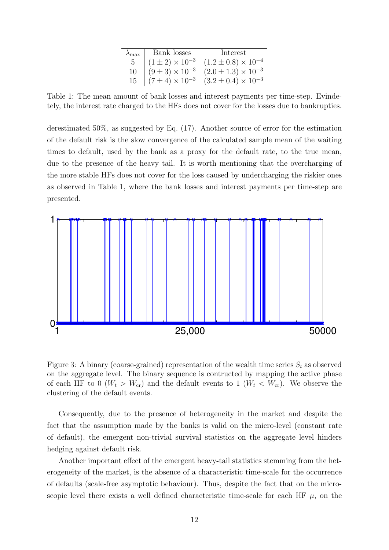| $v_{\text{max}}$ | Bank losses                | Interest                       |
|------------------|----------------------------|--------------------------------|
|                  | $(1 \pm 2) \times 10^{-3}$ | $(1.2 \pm 0.8) \times 10^{-4}$ |
| 10               | $(9 \pm 3) \times 10^{-3}$ | $(2.0 \pm 1.3) \times 10^{-3}$ |
| 15               | $(7 \pm 4) \times 10^{-3}$ | $(3.2 \pm 0.4) \times 10^{-3}$ |

Table 1: The mean amount of bank losses and interest payments per time-step. Evindetely, the interest rate charged to the HFs does not cover for the losses due to bankrupties.

derestimated 50%, as suggested by Eq. (17). Another source of error for the estimation of the default risk is the slow convergence of the calculated sample mean of the waiting times to default, used by the bank as a proxy for the default rate, to the true mean, due to the presence of the heavy tail. It is worth mentioning that the overcharging of the more stable HFs does not cover for the loss caused by undercharging the riskier ones as observed in Table 1, where the bank losses and interest payments per time-step are presented.



Figure 3: A binary (coarse-grained) representation of the wealth time series  $S_t$  as observed on the aggregate level. The binary sequence is contructed by mapping the active phase of each HF to 0 ( $W_t > W_{cr}$ ) and the default events to 1 ( $W_t < W_{cr}$ ). We observe the clustering of the default events.

Consequently, due to the presence of heterogeneity in the market and despite the fact that the assumption made by the banks is valid on the micro-level (constant rate of default), the emergent non-trivial survival statistics on the aggregate level hinders hedging against default risk.

Another important effect of the emergent heavy-tail statistics stemming from the heterogeneity of the market, is the absence of a characteristic time-scale for the occurrence of defaults (scale-free asymptotic behaviour). Thus, despite the fact that on the microscopic level there exists a well defined characteristic time-scale for each HF  $\mu$ , on the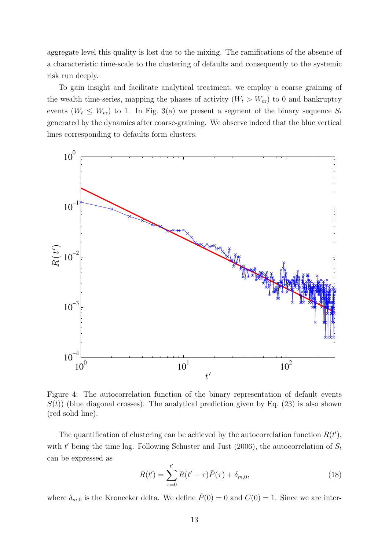aggregate level this quality is lost due to the mixing. The ramifications of the absence of a characteristic time-scale to the clustering of defaults and consequently to the systemic risk run deeply.

To gain insight and facilitate analytical treatment, we employ a coarse graining of the wealth time-series, mapping the phases of activity  $(W_t > W_{cr})$  to 0 and bankruptcy events ( $W_t \leq W_{cr}$ ) to 1. In Fig. 3(a) we present a segment of the binary sequence  $S_t$ generated by the dynamics after coarse-graining. We observe indeed that the blue vertical lines corresponding to defaults form clusters.



Figure 4: The autocorrelation function of the binary representation of default events  $S(t)$ ) (blue diagonal crosses). The analytical prediction given by Eq. (23) is also shown (red solid line).

The quantification of clustering can be achieved by the autocorrelation function  $R(t')$ , with  $t'$  being the time lag. Following Schuster and Just (2006), the autocorrelation of  $S_t$ can be expressed as

$$
R(t') = \sum_{\tau=0}^{t'} R(t'-\tau)\tilde{P}(\tau) + \delta_{m,0},
$$
\n(18)

where  $\delta_{m,0}$  is the Kronecker delta. We define  $\tilde{P}(0) = 0$  and  $C(0) = 1$ . Since we are inter-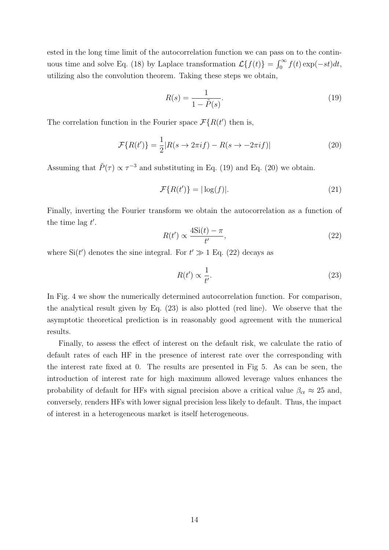ested in the long time limit of the autocorrelation function we can pass on to the continuous time and solve Eq. (18) by Laplace transformation  $\mathcal{L}{f(t)} = \int_0^\infty f(t) \exp(-st) dt$ , utilizing also the convolution theorem. Taking these steps we obtain,

$$
R(s) = \frac{1}{1 - \tilde{P}(s)}.\tag{19}
$$

The correlation function in the Fourier space  $\mathcal{F}{R(t')}$  then is,

$$
\mathcal{F}\{R(t')\} = \frac{1}{2}|R(s \to 2\pi i f) - R(s \to -2\pi i f)| \tag{20}
$$

Assuming that  $\tilde{P}(\tau) \propto \tau^{-3}$  and substituting in Eq. (19) and Eq. (20) we obtain.

$$
\mathcal{F}\{R(t')\} = |\log(f)|.\tag{21}
$$

Finally, inverting the Fourier transform we obtain the autocorrelation as a function of the time lag  $t'$ .

$$
R(t') \propto \frac{4\mathrm{Si}(t) - \pi}{t'},\tag{22}
$$

where  $\text{Si}(t')$  denotes the sine integral. For  $t' \gg 1$  Eq. (22) decays as

$$
R(t') \propto \frac{1}{t'}.\tag{23}
$$

In Fig. 4 we show the numerically determined autocorrelation function. For comparison, the analytical result given by Eq. (23) is also plotted (red line). We observe that the asymptotic theoretical prediction is in reasonably good agreement with the numerical results.

Finally, to assess the effect of interest on the default risk, we calculate the ratio of default rates of each HF in the presence of interest rate over the corresponding with the interest rate fixed at 0. The results are presented in Fig 5. As can be seen, the introduction of interest rate for high maximum allowed leverage values enhances the probability of default for HFs with signal precision above a critical value  $\beta_{cr} \approx 25$  and, conversely, renders HFs with lower signal precision less likely to default. Thus, the impact of interest in a heterogeneous market is itself heterogeneous.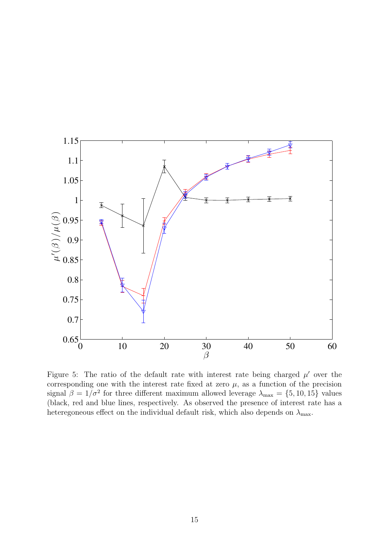

Figure 5: The ratio of the default rate with interest rate being charged  $\mu'$  over the corresponding one with the interest rate fixed at zero  $\mu$ , as a function of the precision signal  $\beta = 1/\sigma^2$  for three different maximum allowed leverage  $\lambda_{\text{max}} = \{5, 10, 15\}$  values (black, red and blue lines, respectively. As observed the presence of interest rate has a heteregoneous effect on the individual default risk, which also depends on  $\lambda_{\text{max}}$ .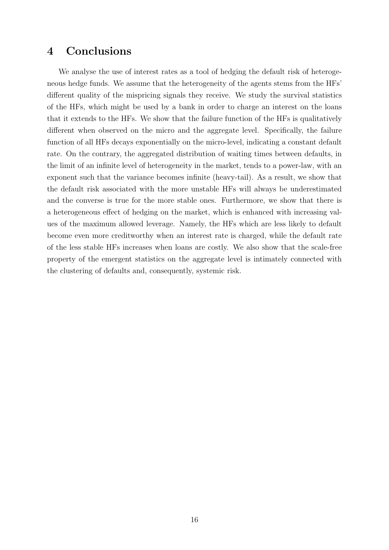## 4 Conclusions

We analyse the use of interest rates as a tool of hedging the default risk of heterogeneous hedge funds. We assume that the heterogeneity of the agents stems from the HFs' different quality of the mispricing signals they receive. We study the survival statistics of the HFs, which might be used by a bank in order to charge an interest on the loans that it extends to the HFs. We show that the failure function of the HFs is qualitatively different when observed on the micro and the aggregate level. Specifically, the failure function of all HFs decays exponentially on the micro-level, indicating a constant default rate. On the contrary, the aggregated distribution of waiting times between defaults, in the limit of an infinite level of heterogeneity in the market, tends to a power-law, with an exponent such that the variance becomes infinite (heavy-tail). As a result, we show that the default risk associated with the more unstable HFs will always be underestimated and the converse is true for the more stable ones. Furthermore, we show that there is a heterogeneous effect of hedging on the market, which is enhanced with increasing values of the maximum allowed leverage. Namely, the HFs which are less likely to default become even more creditworthy when an interest rate is charged, while the default rate of the less stable HFs increases when loans are costly. We also show that the scale-free property of the emergent statistics on the aggregate level is intimately connected with the clustering of defaults and, consequently, systemic risk.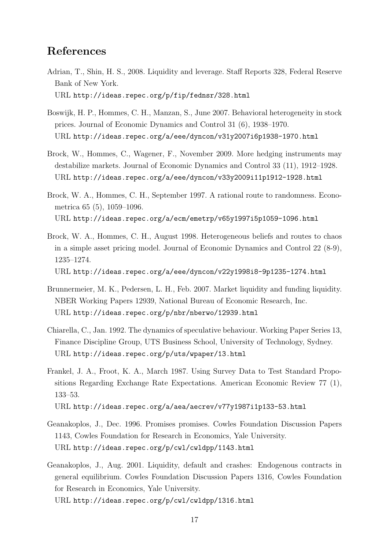## References

- Adrian, T., Shin, H. S., 2008. Liquidity and leverage. Staff Reports 328, Federal Reserve Bank of New York. URL http://ideas.repec.org/p/fip/fednsr/328.html
- Boswijk, H. P., Hommes, C. H., Manzan, S., June 2007. Behavioral heterogeneity in stock prices. Journal of Economic Dynamics and Control 31 (6), 1938–1970. URL http://ideas.repec.org/a/eee/dyncon/v31y2007i6p1938-1970.html
- Brock, W., Hommes, C., Wagener, F., November 2009. More hedging instruments may destabilize markets. Journal of Economic Dynamics and Control 33 (11), 1912–1928. URL http://ideas.repec.org/a/eee/dyncon/v33y2009i11p1912-1928.html
- Brock, W. A., Hommes, C. H., September 1997. A rational route to randomness. Econometrica 65 (5), 1059–1096. URL http://ideas.repec.org/a/ecm/emetrp/v65y1997i5p1059-1096.html
- Brock, W. A., Hommes, C. H., August 1998. Heterogeneous beliefs and routes to chaos in a simple asset pricing model. Journal of Economic Dynamics and Control 22 (8-9), 1235–1274.

URL http://ideas.repec.org/a/eee/dyncon/v22y1998i8-9p1235-1274.html

- Brunnermeier, M. K., Pedersen, L. H., Feb. 2007. Market liquidity and funding liquidity. NBER Working Papers 12939, National Bureau of Economic Research, Inc. URL http://ideas.repec.org/p/nbr/nberwo/12939.html
- Chiarella, C., Jan. 1992. The dynamics of speculative behaviour. Working Paper Series 13, Finance Discipline Group, UTS Business School, University of Technology, Sydney. URL http://ideas.repec.org/p/uts/wpaper/13.html
- Frankel, J. A., Froot, K. A., March 1987. Using Survey Data to Test Standard Propositions Regarding Exchange Rate Expectations. American Economic Review 77 (1), 133–53.

URL http://ideas.repec.org/a/aea/aecrev/v77y1987i1p133-53.html

- Geanakoplos, J., Dec. 1996. Promises promises. Cowles Foundation Discussion Papers 1143, Cowles Foundation for Research in Economics, Yale University. URL http://ideas.repec.org/p/cwl/cwldpp/1143.html
- Geanakoplos, J., Aug. 2001. Liquidity, default and crashes: Endogenous contracts in general equilibrium. Cowles Foundation Discussion Papers 1316, Cowles Foundation for Research in Economics, Yale University.

URL http://ideas.repec.org/p/cwl/cwldpp/1316.html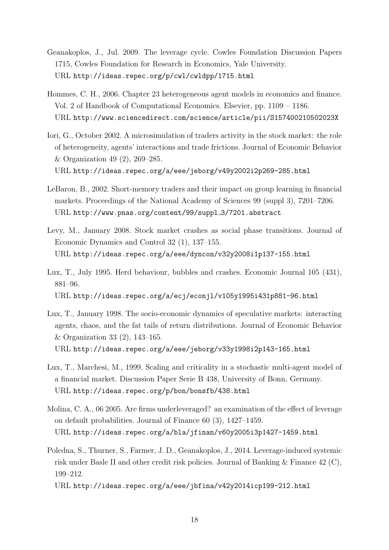- Geanakoplos, J., Jul. 2009. The leverage cycle. Cowles Foundation Discussion Papers 1715, Cowles Foundation for Research in Economics, Yale University. URL http://ideas.repec.org/p/cwl/cwldpp/1715.html
- Hommes, C. H., 2006. Chapter 23 heterogeneous agent models in economics and finance. Vol. 2 of Handbook of Computational Economics. Elsevier, pp. 1109 – 1186. URL http://www.sciencedirect.com/science/article/pii/S157400210502023X
- Iori, G., October 2002. A microsimulation of traders activity in the stock market: the role of heterogeneity, agents' interactions and trade frictions. Journal of Economic Behavior & Organization 49 (2), 269–285. URL http://ideas.repec.org/a/eee/jeborg/v49y2002i2p269-285.html
- LeBaron, B., 2002. Short-memory traders and their impact on group learning in financial markets. Proceedings of the National Academy of Sciences 99 (suppl 3), 7201–7206. URL http://www.pnas.org/content/99/suppl 3/7201.abstract
- Levy, M., January 2008. Stock market crashes as social phase transitions. Journal of Economic Dynamics and Control 32 (1), 137–155. URL http://ideas.repec.org/a/eee/dyncon/v32y2008i1p137-155.html
- Lux, T., July 1995. Herd behaviour, bubbles and crashes. Economic Journal 105 (431), 881–96. URL http://ideas.repec.org/a/ecj/econjl/v105y1995i431p881-96.html
- Lux, T., January 1998. The socio-economic dynamics of speculative markets: interacting agents, chaos, and the fat tails of return distributions. Journal of Economic Behavior & Organization 33 (2), 143–165. URL http://ideas.repec.org/a/eee/jeborg/v33y1998i2p143-165.html
- Lux, T., Marchesi, M., 1999. Scaling and criticality in a stochastic multi-agent model of a financial market. Discussion Paper Serie B 438, University of Bonn, Germany. URL http://ideas.repec.org/p/bon/bonsfb/438.html
- Molina, C. A., 06 2005. Are firms underleveraged? an examination of the effect of leverage on default probabilities. Journal of Finance 60 (3), 1427–1459. URL http://ideas.repec.org/a/bla/jfinan/v60y2005i3p1427-1459.html
- Poledna, S., Thurner, S., Farmer, J. D., Geanakoplos, J., 2014. Leverage-induced systemic risk under Basle II and other credit risk policies. Journal of Banking & Finance 42 (C), 199–212.

URL http://ideas.repec.org/a/eee/jbfina/v42y2014icp199-212.html